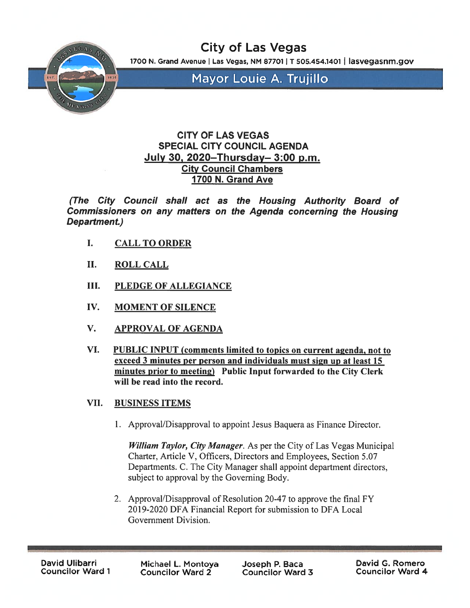

City of Las Vegas

1700 N. Grand Avenue | Las Vegas, NM 87701 | T 505.454.1401 | lasvegasnm.gov

Mayor Louie A. Trujillo

# CITY OF LAS VEGAS SPECIAL CITY COUNCIL AGENDA July 30, 2020—Thursday— 3:00 p.m. City Council Chambers 1700 N. Grand Ave

(The City Council shall act as the Housing Authority Board of Commissioners on any matters on the Agenda concerning the Housing Department.)

- I. CALL TO ORDER
- II. ROLL CALL
- III. PLEDGE OF ALLEGIANCE
- IV. MOMENT OF SILENCE
- V. APPROVAL OF AGENDA
- VI. PUBLIC INPUT (comments limited to topics on current agenda, not to exceed 3 minutes per person and individuals must sign up at least 15 minutes prior to meeting) Public Input forwarded to the City Clerk will be read into the record.
- VII. BUSINESS ITEMS
	- 1. Approval/Disapproval to appoint Jesus Baquera as Finance Director.

William Taylor, City Manager. As per the City of Las Vegas Municipal Charter, Article V, Officers, Directors and Employees, Section 5.07 Departments. C. The City Manager shall appoint department directors, subject to approval by the Governing Body.

2. Approval/Disapproval of Resolution 20-47 to approve the final FY 20 19-2020 DFA Financial Report for submission to DFA Local Government Division.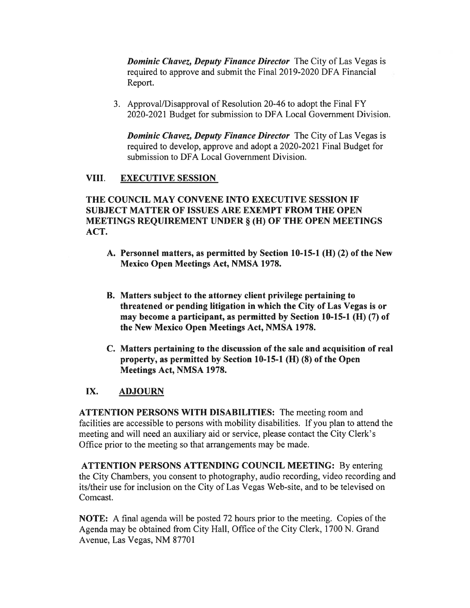**Dominic Chavez, Deputy Finance Director** The City of Las Vegas is required to approve and submit the Final 2019-2020 DFA Financial Report.

3. Approval/Disapproval of Resolution 20-46 to adopt the Final FY 2020-2021 Budget for submission to DFA Local Government Division.

**Dominic Chavez, Deputy Finance Director** The City of Las Vegas is required to develop, approve and adopt a 2020-2021 Final Budget for submission to DFA Local Government Division.

### VIII. EXECUTIVE SESSION

THE COUNCIL MAY CONVENE INTO EXECUTIVE SESSION IF SUBJECT MATTER OF ISSUES ARE EXEMPT FROM THE OPEN MEETINGS REQUIREMENT UNDER § (H) OF THE OPEN MEETINGS ACT.

- A. Personnel matters, as permitted by Section 10-15-1 (H) (2) of the New Mexico Open Meetings Act, NMSA 1978.
- B. Matters subject to the attorney client privilege pertaining to threatened or pending litigation in which the City of Las Vegas is or may become a participant, as permitted by Section  $10-15-1$  (H)  $(7)$  of the New Mexico Open Meetings Act, NMSA 1978.
- C. Matters pertaining to the discussion of the sale and acquisition of real property, as permitted by Section 10-15-1 (H) (8) of the Open Meetings Act, NMSA 1978.

## IX. ADJOURN

ATTENTION PERSONS WITH DISABILITIES: The meeting room and facilities are accessible to persons with mobility disabilities. If you plan to attend the meeting and will need an auxiliary aid or service, please contact the City Clerk's Office prior to the meeting so that arrangements may be made.

ATTENTION PERSONS ATTENDING COUNCIL MEETING: By entering the City Chambers, you consent to photography, audio recording, video recording and its/their use for inclusion on the City of Las Vegas Web-site, and to be televised on Comcast.

NOTE: A final agenda will be posted 72 hours prior to the meeting. Copies of the Agenda may be obtained from City Hall, Office of the City Clerk, 1700 N. Grand Avenue, Las Vegas, NM 87701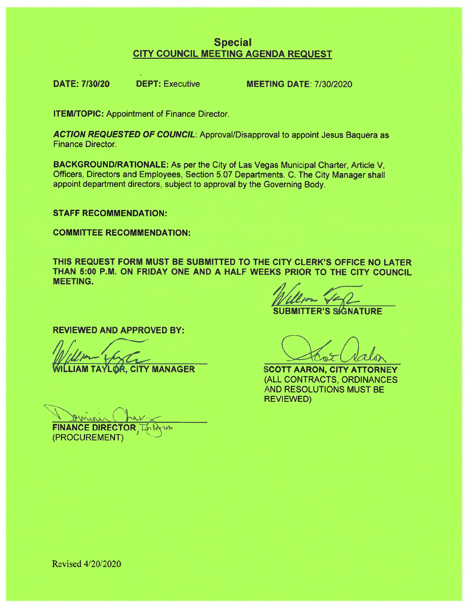# Special CITY COUNCIL MEETING AGENDA REQUEST

DATE: 7/30/20 DEPT: Executive MEETING DATE: 7/30/2020

ITEM/TOPIC: Appointment of Finance Director.

ACTION REQUESTED OF COUNCIL: Approval/Disapproval to appoint Jesus Baquera as Finance Director.

BACKGROUNDIRATIONALE: As per the City of Las Vegas Municipal Charter, Article V, Officers, Directors and Employees, Section 5.07 Departments. C. The City Manager shall appoint department directors, subject to approva<sup>l</sup> by the Governing Body.

STAFF RECOMMENDATION:

COMMITTEE RECOMMENDATION:

THIS REQUEST FORM MUST BE SUBMITTED TO THE CITY CLERK'S OFFICE NO LATER THAN 5:00 P.M. ON FRIDAY ONE AND A HALF WEEKS PRIOR TO THE CITY COUNCIL MEETING.

**SUBMITTER'S SIGNATURE** 

REVIEWED AND APPROVED BY:

**FINANCE DIREC** 

(PROCUREMENT)

LIAM TAYLOR, CITY MANAGER SCOTT AARON, CITY ATTORNEY (ALL CONTRACTS, ORDINANCES AND RESOLUTIONS MUST BE REVIEWED)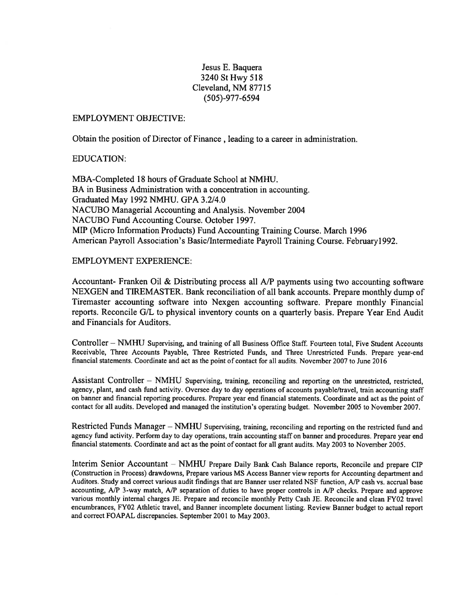#### Jesus E. Baquera 3240 StHwy 518 Cleveland, NM 87715 (505)-977-6594

#### EMPLOYMENT OBJECTIVE:

Obtain the position of Director of Finance , leading to <sup>a</sup> career in administration.

#### EDUCATION:

MBA-Completed 18 hours of Graduate School at NMHU. BA in Business Administration with <sup>a</sup> concentration in accounting. Graduated May 1992 NMHU. GPA 3.2/4.0 NACUBO Managerial Accounting and Analysis. November 2004 NACUBO Fund Accounting Course, October 1997. MIP (Micro Information Products) Fund Accounting Training Course. March 1996 American Payroll Association's Basic/Intermediate Payroll Training Course. February 1992.

#### EMPLOYMENT EXPERIENCE:

Accountant- Franken Oil & Distributing process all A/P payments using two accounting software NEXGEN and TIREMASTER. Bank reconciliation of all bank accounts. Prepare monthly dump of Tiremaster accounting software into Nexgen accounting software. Prepare monthly Financial reports. Reconcile G/L to physical inventory counts on <sup>a</sup> quarterly basis. Prepare Year End Audit and Financials for Auditors.

Controller - NMHU Supervising, and training of all Business Office Staff. Fourteen total, Five Student Accounts Receivable, Three Accounts Payable, Three Restricted Funds, and Three Unrestricted Funds. Prepare year-en<sup>d</sup> financial statements. Coordinate and act as the point of contact for all audits. November 2007 to June 2016

Assistant Controller — NMHU Supervising, training, reconciling and reporting on the unrestricted, restricted, agency, <sup>p</sup>lant, and cash fund activity. Oversee day to day operations of accounts payable/travel, train accounting staff on banner and financial reporting procedures. Prepare year end financial statements. Coordinate and act as the point of contact for all audits. Developed and managed the institution's operating budget. November 2005 to November 2007.

Restricted Funds Manager — NMHU Supervising, training, reconciling and reporting on the restricted fund and agency fund activity. Perform day to day operations, train accounting staff on banner and procedures. Prepare year end financial statements. Coordinate and act as the point of contact for all gran<sup>t</sup> audits. May <sup>2003</sup> to November 2005.

Interim Senior Accountant — NMHU Prepare Daily Bank Cash Balance reports, Reconcile and prepare CIP (Construction in Process) drawdowns, Prepare various MS Access Banner view reports for Accounting department and Auditors. Study and correct various audit findings that are Banner user related NSF function, A/P cash vs. accrual base accounting, A/P 3-way match, A/P separation of duties to have proper controls in A/P checks. Prepare and approve various monthly internal charges JE. Prepare and reconcile monthly Petty Cash JE. Reconcile and clean FY02 travel encumbrances, FY02 Athletic travel, and Banner incomplete document listing. Review Banner budget to actual repor<sup>t</sup> and correct FOAPAL discrepancies. September 2001 to May 2003.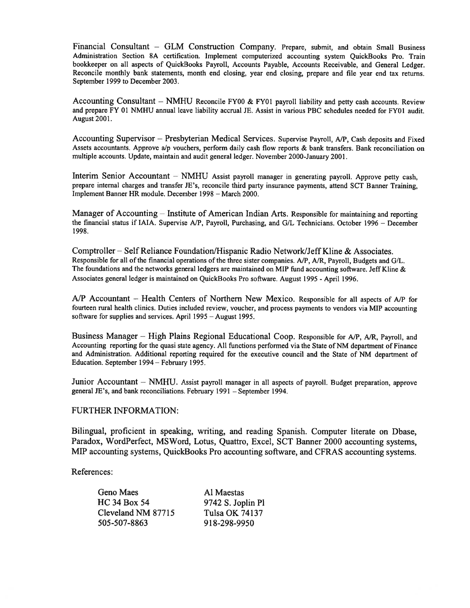Financial Consultant — GLM Construction Company. Prepare, submit, and obtain Small Business Administration Section 8A certification. Implement computerized accounting system QuickBooks Pro. Train bookkeeper on all aspects of QuickBooks Payroll, Accounts Payable, Accounts Receivable, and General Ledger. Reconcile monthly bank statements, month end closing, year end closing, prepare and file year end tax returns. September 1999 to December 2003.

Accounting Consultant — NMHU Reconcile FY00 & FY01 payroll liability and petty cash accounts. Review and prepare FY 01 NMHU annual leave liability accrual JE. Assist in various PBC schedules needed for FY01 audit. August 2001.

Accounting Supervisor — Presbyterian Medical Services. Supervise Payroll, AlP, Cash deposits and Fixed Assets accountants. Approve a/p vouchers, perform daily cash flow reports  $\&$  bank transfers. Bank reconciliation on multiple accounts. Update, maintain and audit general ledger. November 2000-January 2001.

Interim Senior Accountant — NMHU Assist payroll manager in generating payroll. Approve petty cash, prepare internal charges and transfer JE's, reconcile third party insurance payments, attend SCT Banner Training, Implement Banner HR module. December 1998 — March 2000.

Manager of Accounting — Institute of American Indian Arts. Responsible for maintaining and reporting the financial status if IAIA. Supervise AlP, Payroll, Purchasing, and GIL Technicians. October 1996— December 1998.

Comptroller – Self Reliance Foundation/Hispanic Radio Network/Jeff Kline & Associates. Responsible for all of the financial operations of the three sister companies. A/P, A/R, Payroll, Budgets and G/L. The foundations and the networks genera<sup>l</sup> ledgers are maintained on MIP fund accounting software. Jeff Kline & Associates genera<sup>l</sup> ledger is maintained on QuickBooks Pro software. August 1995 -April 1996.

A/P Accountant — Health Centers of Northern New Mexico. Responsible for all aspects of AlP for fourteen rural health clinics. Duties included review, voucher, and process payments to vendors via MIP accounting software for supplies and services. April 1995— August 1995.

Business Manager – High Plains Regional Educational Coop. Responsible for A/P, A/R, Payroll, and Accounting reporting for the quas<sup>i</sup> state agency. All functions performed via the State of NM department of Finance and Administration. Additional reporting required for the executive council and the State of NM department of Education. September 1994— February 1995.

Junior Accountant — NMHU. Assist payroll manager in all aspects of payroll. Budget preparation, approve general JE's, and bank reconciliations. February 1991 — September 1994.

#### FURTHER INFORMATION:

Bilingual, proficient in speaking, writing, and reading Spanish. Computer literate on Dbase, Paradox, WordPerfect, MSWord, Lotus, Quattro, Excel, SCT Banner 2000 accounting systems, MIP accounting systems, QuickBooks Pro accounting software, and CFRAS accounting systems.

References:

| Geno Maes           | Al Maestas        |
|---------------------|-------------------|
| <b>HC 34 Box 54</b> | 9742 S. Joplin Pl |
| Cleveland NM 87715  | Tulsa OK 74137    |
| 505-507-8863        | 918-298-9950      |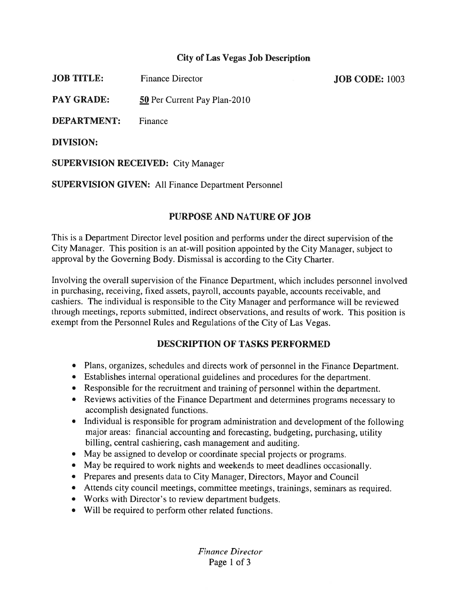# City of Las Vegas Job Description

**JOB TITLE:** Finance Director Finance **Finance Director** Finance **JOB** CODE: 1003

PAY GRADE: 50 Per Current Pay Plan-2010

DEPARTMENT: Finance

DIVISION:

SUPERVISION RECEIVED: City Manager

SUPERVISION GIVEN: All Finance Department Personnel

# PURPOSE AND NATURE OF JOB

This is <sup>a</sup> Department Director level position and performs under the direct supervision of the City Manager. This position is an at-will position appointed by the City Manager, subject to approval by the Governing Body. Dismissal is according to the City Charter.

Involving the overall supervision of the Finance Department, which includes personne<sup>l</sup> involved in purchasing, receiving, fixed assets, payroll, accounts payable, accounts receivable, and cashiers. The individual is responsible to the City Manager and performance will be reviewed through meetings, reports submitted, indirect observations, and results of work. This position is exemp<sup>t</sup> from the Personnel Rules and Regulations of the City of Las Vegas.

# DESCRIPTION OF TASKS PERFORMED

- Plans, organizes, schedules and directs work of personnel in the Finance Department.
- Establishes internal operational guidelines and procedures for the department.
- Responsible for the recruitment and training of personnel within the department.
- Reviews activities of the Finance Department and determines programs necessary to accomplish designated functions.
- Individual is responsible for program administration and development of the following major areas: financial accounting and forecasting, budgeting, purchasing, utility billing, central cashiering, cash managemen<sup>t</sup> and auditing.
- May be assigned to develop or coordinate special projects or programs.
- May be required to work nights and weekends to meet deadlines occasionally.
- Prepares and presents data to City Manager, Directors, Mayor and Council
- Attends city council meetings, committee meetings, trainings, seminars as required.
- Works with Director's to review department budgets.
- Will be required to perform other related functions.

Finance Director Page 1 of 3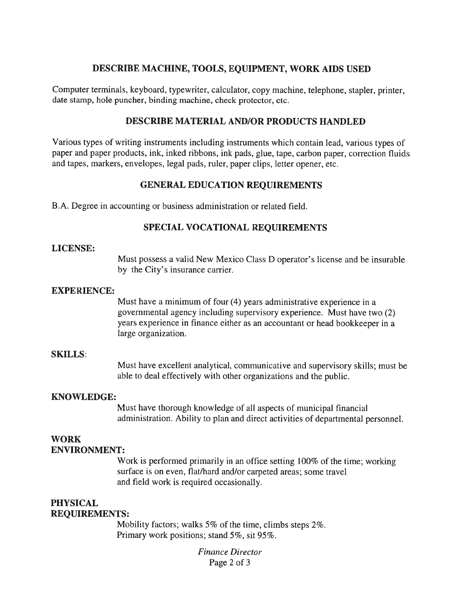## DESCRIBE MACHINE, TOOLS, EQUIPMENT, WORK AIDS USED

Computer terminals, keyboard, typewriter, calculator, copy machine, telephone, stapler, printer, date stamp, hole puncher, binding machine, check protector, etc.

### DESCRIBE MATERIAL AND/OR PRODUCTS HANDLED

Various types of writing instruments including instruments which contain lead, various types of paper and paper products, ink, inked ribbons, ink pads, <sup>g</sup>lue, tape, carbon paper, correction fluids and tapes, markers, envelopes, legal pads, ruler, paper clips, letter opener, etc.

## GENERAL EDUCATION REQUIREMENTS

BA. Degree in accounting or business administration or related field.

# SPECIAL VOCATIONAL REQUIREMENTS

### LICENSE:

Must possess <sup>a</sup> valid New Mexico Class D operator's license and be insurable by the City's insurance carrier.

### EXPERIENCE:

Must have <sup>a</sup> minimum of four (4) years administrative experience in <sup>a</sup> governmental agency including supervisory experience. Must have two (2) years experience in finance either as an accountant or head bookkeeper in <sup>a</sup> large organization.

#### SKILLS:

Must have excellent analytical, communicative and supervisory skills; must be able to deal effectively with other organizations and the public.

### KNOWLEDGE:

Must have thorough knowledge of all aspects of municipal financial administration. Ability to <sup>p</sup>lan and direct activities of departmental personnel.

### WORK ENVIRONMENT:

Work is performed primarily in an office setting 100% of the time; working surface is on even, flat/hard and/or carpeted areas; some travel and field work is required occasionally.

### PHYSICAL REQUIREMENTS:

Mobility factors; walks 5% of the time, climbs steps 2%. Primary work positions; stand 5%, sit 95%.

> Finance Director Page 2 of 3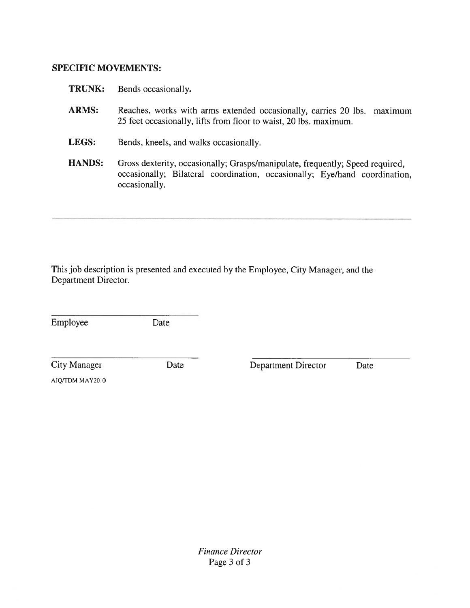# SPECIFIC MOVEMENTS:

| <b>TRUNK:</b> | Bends occasionally.                                                                                                                                                          |
|---------------|------------------------------------------------------------------------------------------------------------------------------------------------------------------------------|
| <b>ARMS:</b>  | Reaches, works with arms extended occasionally, carries 20 lbs.<br>maximum<br>25 feet occasionally, lifts from floor to waist, 20 lbs. maximum.                              |
| LEGS:         | Bends, kneels, and walks occasionally.                                                                                                                                       |
| <b>HANDS:</b> | Gross dexterity, occasionally; Grasps/manipulate, frequently; Speed required,<br>occasionally; Bilateral coordination, occasionally; Eye/hand coordination,<br>occasionally. |

This job description is presented and executed by the Employee, City Manager, and the Department Director.

Employee Date

City Manager Date Department Director Date

AJQ/TDM MAY2010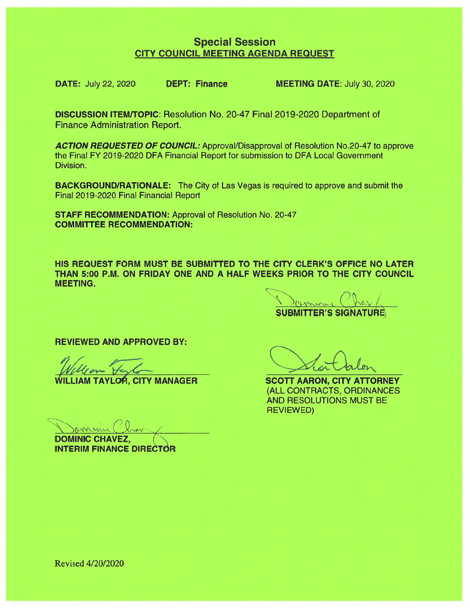# Special Session CITY COUNCIL MEETING AGENDA REQUEST

DATE: July 22, 2020 DEPT: Finance MEETING DATE: July 30, 2020

DISCUSSION ITEM/TOPIC: Resolution No. 20-47 Final 2019-2020 Department of Finance Administration Report.

ACTION REQUESTED OF COUNCIL: Approval/Disapproval of Resolution No.20-47 to approve the Final FY 2019-2020 DFA Financial Report for submission to DFA Local Government Division.

BACKGROUND/RATIONALE: The City of Las Vegas is required to approve and submit the Final 2019-2020 Final Financial Report

STAFF RECOMMENDATION: Approval of Resolution No. 20-47 COMMITTEE RECOMMENDATION:

HIS REQUEST FORM MUST BE SUBMITTED TO THE CITY CLERK'S OFFICE NO LATER THAN 5:00 P.M. ON FRIDAY ONE AND A HALF WEEKS PRIOR TO THE CITY COUNCIL MEETING.

Damine Chart SUBMITTER'S SIGNATURE

REVIEWED AND APPROVED BY:

DOMINIC CHAVEZ **INTERIM FINANCE DIRECTOR** 

LIAM TAYLOR, CITY MANAGER SCOTT AARON, CITY ATTORNEY (ALL CONTRACTS, ORDINANCES AND RESOLUTIONS MUST BE **REVIEWED)** 

 $\mathcal{L}_{\mathcal{A}}$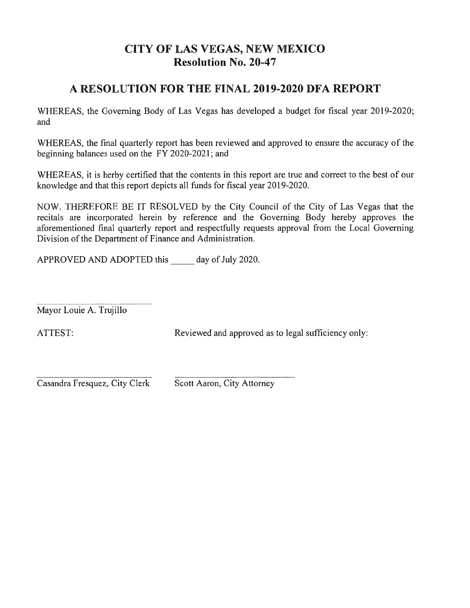# CITY OF LAS VEGAS, NEW MEXICO Resolution No. 20-47

# A RESOLUTION FOR THE FINAL 2019-2020 DFA REPORT

WHEREAS, the Governing Body of Las Vegas has developed a budget for fiscal year 2019-2020; and

WHEREAS, the final quarterly repor<sup>t</sup> has been reviewed and approved to ensure the accuracy of the beginning balances used on the FY 2020-2021; and

WHEREAS, it is herby certified that the contents in this repor<sup>t</sup> are true and correct to the best of our knowledge and that this repor<sup>t</sup> depicts all funds for fiscal year 2019-2020.

NOW, THEREFORE BE IT RESOLVED by the City Council of the City of Las Vegas that the recitals are incorporated herein by reference and the Governing Body hereby approves the aforementioned final quarterly repor<sup>t</sup> and respectfully requests approval from the Local Governing Division of the Department of Finance and Administration. **CITY OF LAS VEGAS, NE**<br>**Resolution No. 20**<br>**A RESOLUTION FOR THE FINAL 2**<br>WHEREAS, the Governing Body of Las Vegas has develond<br>and<br>WHEREAS, the final quarterly report has been reviewed an<br>beginning balances used on the F

Mayor Louie A. Trujillo

ATTEST: Reviewed and approved as to legal sufficiency only:

Casandra Fresquez, City Clerk Scott Aaron, City Attorney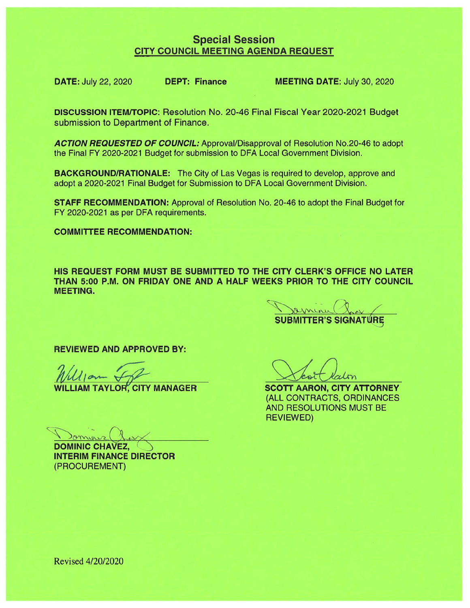# Special Session CITY COUNCIL MEETING AGENDA REQUEST

DATE: July 22, 2020 DEPT: Finance MEETING DATE: July 30, 2020

**DISCUSSION ITEM/TOPIC:** Resolution No. 20-46 Final Fiscal Year 2020-2021 Budget submission to Department of Finance.

ACTION REQUESTED OF COUNCIL: Approval/Disapproval of Resolution No.20-46 to adopt the Final FY 2020-2021 Budget for submission to DFA Local Government Division.

BACKGROUND/RATIONALE: The City of Las Vegas is required to develop, approve and adopt <sup>a</sup> 2020-2021 Final Budget for Submission to DFA Local Government Division.

STAFF RECOMMENDATION: Approval of Resolution No. 20-46 to adopt the Final Budget for FY 2020-2021 as per DFA requirements.

COMMITTEE RECOMMENDATION:

HIS REQUEST FORM MUST BE SUBMITTED TO THE CITY CLERK'S OFFICE NO LATER THAN 5:00 P.M. ON FRIDAY ONE AND A HALF WEEKS PRIOR TO THE CITY COUNCIL MEETING.

7 SUBMITTER'S SIGNATURE

REVIEWED AND APPROVED BY:

 $\gamma$ anner

DOMINIC CHAVEZ, INTERIM FINANCE DIRECTOR (PROCUREMENT)

WILLIAM TAYLOR, CITY MANAGER SCOTT AARON, CITY ATTORNEY (ALL CONTRACTS, ORDINANCES AND RESOLUTIONS MUST BE REVIEWED)